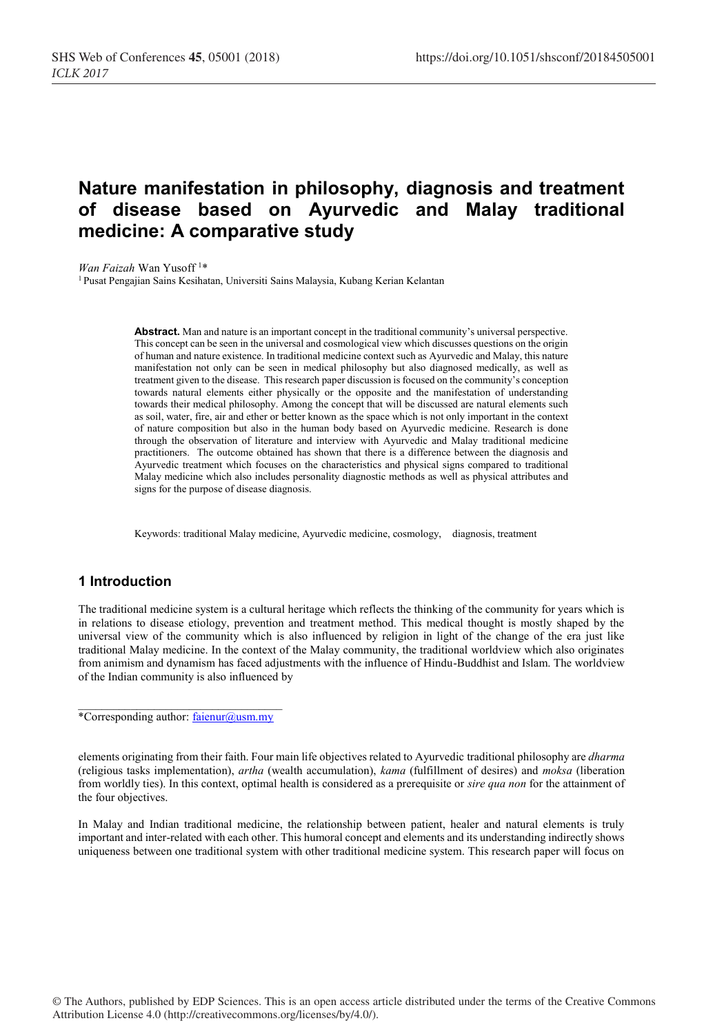# **Nature manifestation in philosophy, diagnosis and treatment of disease based on Ayurvedic and Malay traditional medicine: A comparative study**

*Wan Faizah* Wan Yusoff 1 \*

1 Pusat Pengajian Sains Kesihatan, Universiti Sains Malaysia, Kubang Kerian Kelantan

**Abstract.** Man and nature is an important concept in the traditional community's universal perspective. This concept can be seen in the universal and cosmological view which discusses questions on the origin of human and nature existence. In traditional medicine context such as Ayurvedic and Malay, this nature manifestation not only can be seen in medical philosophy but also diagnosed medically, as well as treatment given to the disease. This research paper discussion is focused on the community's conception towards natural elements either physically or the opposite and the manifestation of understanding towards their medical philosophy. Among the concept that will be discussed are natural elements such as soil, water, fire, air and ether or better known as the space which is not only important in the context of nature composition but also in the human body based on Ayurvedic medicine. Research is done through the observation of literature and interview with Ayurvedic and Malay traditional medicine practitioners. The outcome obtained has shown that there is a difference between the diagnosis and Ayurvedic treatment which focuses on the characteristics and physical signs compared to traditional Malay medicine which also includes personality diagnostic methods as well as physical attributes and signs for the purpose of disease diagnosis.

Keywords: traditional Malay medicine, Ayurvedic medicine, cosmology, diagnosis, treatment

#### **1 Introduction**

The traditional medicine system is a cultural heritage which reflects the thinking of the community for years which is in relations to disease etiology, prevention and treatment method. This medical thought is mostly shaped by the universal view of the community which is also influenced by religion in light of the change of the era just like traditional Malay medicine. In the context of the Malay community, the traditional worldview which also originates from animism and dynamism has faced adjustments with the influence of Hindu-Buddhist and Islam. The worldview of the Indian community is also influenced by

\_\_\_\_\_\_\_\_\_\_\_\_\_\_\_\_\_\_\_\_\_\_\_\_\_\_\_\_\_\_\_\_\_\_\_ \*Corresponding author: faienur@usm.my

elements originating from their faith. Four main life objectives related to Ayurvedic traditional philosophy are *dharma* (religious tasks implementation), *artha* (wealth accumulation), *kama* (fulfillment of desires) and *moksa* (liberation from worldly ties). In this context, optimal health is considered as a prerequisite or *sire qua non* for the attainment of the four objectives.

In Malay and Indian traditional medicine, the relationship between patient, healer and natural elements is truly important and inter-related with each other. This humoral concept and elements and its understanding indirectly shows uniqueness between one traditional system with other traditional medicine system. This research paper will focus on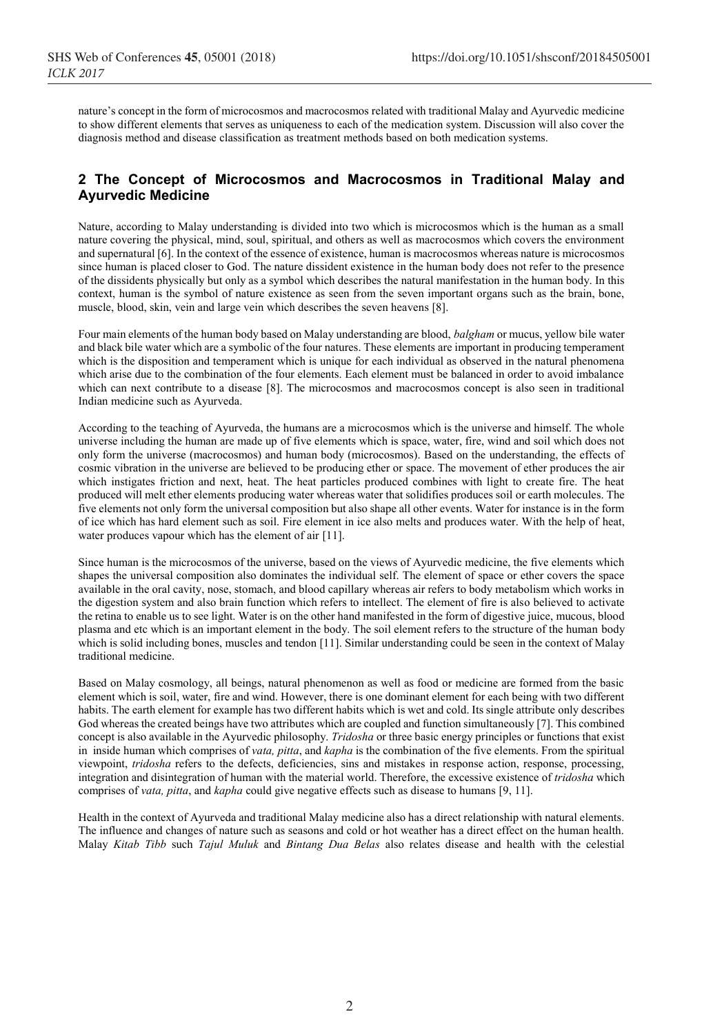nature's concept in the form of microcosmos and macrocosmos related with traditional Malay and Ayurvedic medicine to show different elements that serves as uniqueness to each of the medication system. Discussion will also cover the diagnosis method and disease classification as treatment methods based on both medication systems.

#### **2 The Concept of Microcosmos and Macrocosmos in Traditional Malay and Ayurvedic Medicine**

Nature, according to Malay understanding is divided into two which is microcosmos which is the human as a small nature covering the physical, mind, soul, spiritual, and others as well as macrocosmos which covers the environment and supernatural [6]. In the context of the essence of existence, human is macrocosmos whereas nature is microcosmos since human is placed closer to God. The nature dissident existence in the human body does not refer to the presence of the dissidents physically but only as a symbol which describes the natural manifestation in the human body. In this context, human is the symbol of nature existence as seen from the seven important organs such as the brain, bone, muscle, blood, skin, vein and large vein which describes the seven heavens [8].

Four main elements of the human body based on Malay understanding are blood, *balgham* or mucus, yellow bile water and black bile water which are a symbolic of the four natures. These elements are important in producing temperament which is the disposition and temperament which is unique for each individual as observed in the natural phenomena which arise due to the combination of the four elements. Each element must be balanced in order to avoid imbalance which can next contribute to a disease [8]. The microcosmos and macrocosmos concept is also seen in traditional Indian medicine such as Ayurveda.

According to the teaching of Ayurveda, the humans are a microcosmos which is the universe and himself. The whole universe including the human are made up of five elements which is space, water, fire, wind and soil which does not only form the universe (macrocosmos) and human body (microcosmos). Based on the understanding, the effects of cosmic vibration in the universe are believed to be producing ether or space. The movement of ether produces the air which instigates friction and next, heat. The heat particles produced combines with light to create fire. The heat produced will melt ether elements producing water whereas water that solidifies produces soil or earth molecules. The five elements not only form the universal composition but also shape all other events. Water for instance is in the form of ice which has hard element such as soil. Fire element in ice also melts and produces water. With the help of heat, water produces vapour which has the element of air [11].

Since human is the microcosmos of the universe, based on the views of Ayurvedic medicine, the five elements which shapes the universal composition also dominates the individual self. The element of space or ether covers the space available in the oral cavity, nose, stomach, and blood capillary whereas air refers to body metabolism which works in the digestion system and also brain function which refers to intellect. The element of fire is also believed to activate the retina to enable us to see light. Water is on the other hand manifested in the form of digestive juice, mucous, blood plasma and etc which is an important element in the body. The soil element refers to the structure of the human body which is solid including bones, muscles and tendon [11]. Similar understanding could be seen in the context of Malay traditional medicine.

Based on Malay cosmology, all beings, natural phenomenon as well as food or medicine are formed from the basic element which is soil, water, fire and wind. However, there is one dominant element for each being with two different habits. The earth element for example has two different habits which is wet and cold. Its single attribute only describes God whereas the created beings have two attributes which are coupled and function simultaneously [7]. This combined concept is also available in the Ayurvedic philosophy. *Tridosha* or three basic energy principles or functions that exist in inside human which comprises of *vata, pitta*, and *kapha* is the combination of the five elements. From the spiritual viewpoint, *tridosha* refers to the defects, deficiencies, sins and mistakes in response action, response, processing, integration and disintegration of human with the material world. Therefore, the excessive existence of *tridosha* which comprises of *vata, pitta*, and *kapha* could give negative effects such as disease to humans [9, 11].

Health in the context of Ayurveda and traditional Malay medicine also has a direct relationship with natural elements. The influence and changes of nature such as seasons and cold or hot weather has a direct effect on the human health. Malay *Kitab Tibb* such *Tajul Muluk* and *Bintang Dua Belas* also relates disease and health with the celestial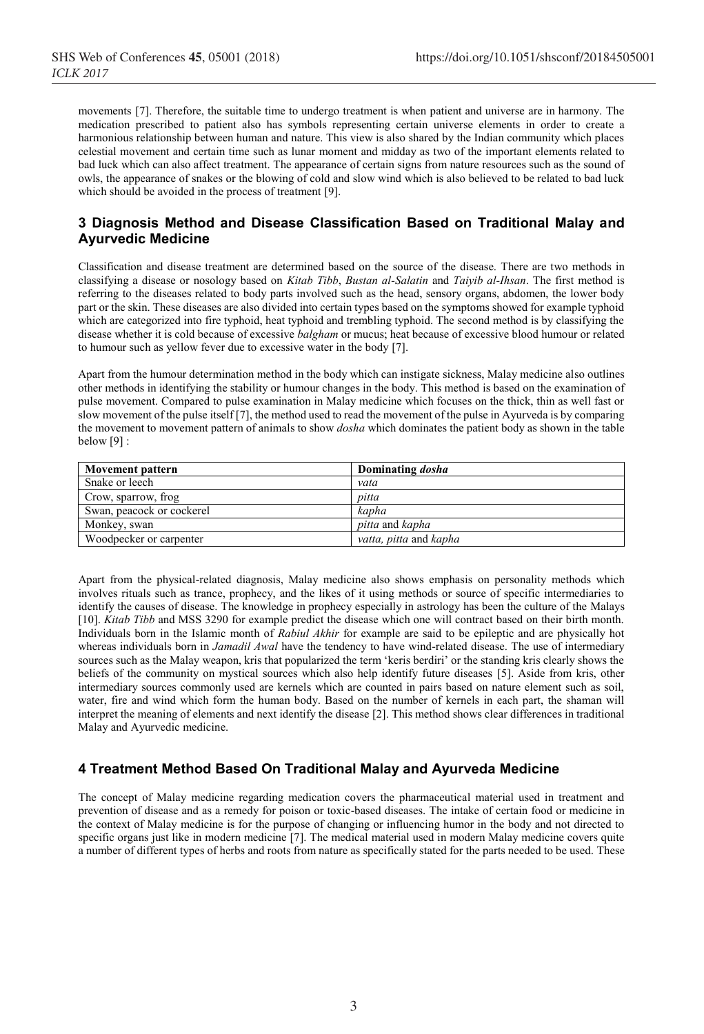movements [7]. Therefore, the suitable time to undergo treatment is when patient and universe are in harmony. The medication prescribed to patient also has symbols representing certain universe elements in order to create a harmonious relationship between human and nature. This view is also shared by the Indian community which places celestial movement and certain time such as lunar moment and midday as two of the important elements related to bad luck which can also affect treatment. The appearance of certain signs from nature resources such as the sound of owls, the appearance of snakes or the blowing of cold and slow wind which is also believed to be related to bad luck which should be avoided in the process of treatment [9].

## **3 Diagnosis Method and Disease Classification Based on Traditional Malay and Ayurvedic Medicine**

Classification and disease treatment are determined based on the source of the disease. There are two methods in classifying a disease or nosology based on *Kitab Tibb*, *Bustan al-Salatin* and *Taiyib al-Ihsan*. The first method is referring to the diseases related to body parts involved such as the head, sensory organs, abdomen, the lower body part or the skin. These diseases are also divided into certain types based on the symptoms showed for example typhoid which are categorized into fire typhoid, heat typhoid and trembling typhoid. The second method is by classifying the disease whether it is cold because of excessive *balgham* or mucus; heat because of excessive blood humour or related to humour such as yellow fever due to excessive water in the body [7].

Apart from the humour determination method in the body which can instigate sickness, Malay medicine also outlines other methods in identifying the stability or humour changes in the body. This method is based on the examination of pulse movement. Compared to pulse examination in Malay medicine which focuses on the thick, thin as well fast or slow movement of the pulse itself [7], the method used to read the movement of the pulse in Ayurveda is by comparing the movement to movement pattern of animals to show *dosha* which dominates the patient body as shown in the table below [9] :

| <b>Movement pattern</b>   | Dominating <i>dosha</i>       |
|---------------------------|-------------------------------|
| Snake or leech            | vata                          |
| Crow, sparrow, frog       | pitta                         |
| Swan, peacock or cockerel | kapha                         |
| Monkey, swan              | <i>pitta</i> and <i>kapha</i> |
| Woodpecker or carpenter   | vatta, pitta and kapha        |

Apart from the physical-related diagnosis, Malay medicine also shows emphasis on personality methods which involves rituals such as trance, prophecy, and the likes of it using methods or source of specific intermediaries to identify the causes of disease. The knowledge in prophecy especially in astrology has been the culture of the Malays [10]. *Kitab Tibb* and MSS 3290 for example predict the disease which one will contract based on their birth month. Individuals born in the Islamic month of *Rabiul Akhir* for example are said to be epileptic and are physically hot whereas individuals born in *Jamadil Awal* have the tendency to have wind-related disease. The use of intermediary sources such as the Malay weapon, kris that popularized the term 'keris berdiri' or the standing kris clearly shows the beliefs of the community on mystical sources which also help identify future diseases [5]. Aside from kris, other intermediary sources commonly used are kernels which are counted in pairs based on nature element such as soil, water, fire and wind which form the human body. Based on the number of kernels in each part, the shaman will interpret the meaning of elements and next identify the disease [2]. This method shows clear differences in traditional Malay and Ayurvedic medicine.

## **4 Treatment Method Based On Traditional Malay and Ayurveda Medicine**

The concept of Malay medicine regarding medication covers the pharmaceutical material used in treatment and prevention of disease and as a remedy for poison or toxic-based diseases. The intake of certain food or medicine in the context of Malay medicine is for the purpose of changing or influencing humor in the body and not directed to specific organs just like in modern medicine [7]. The medical material used in modern Malay medicine covers quite a number of different types of herbs and roots from nature as specifically stated for the parts needed to be used. These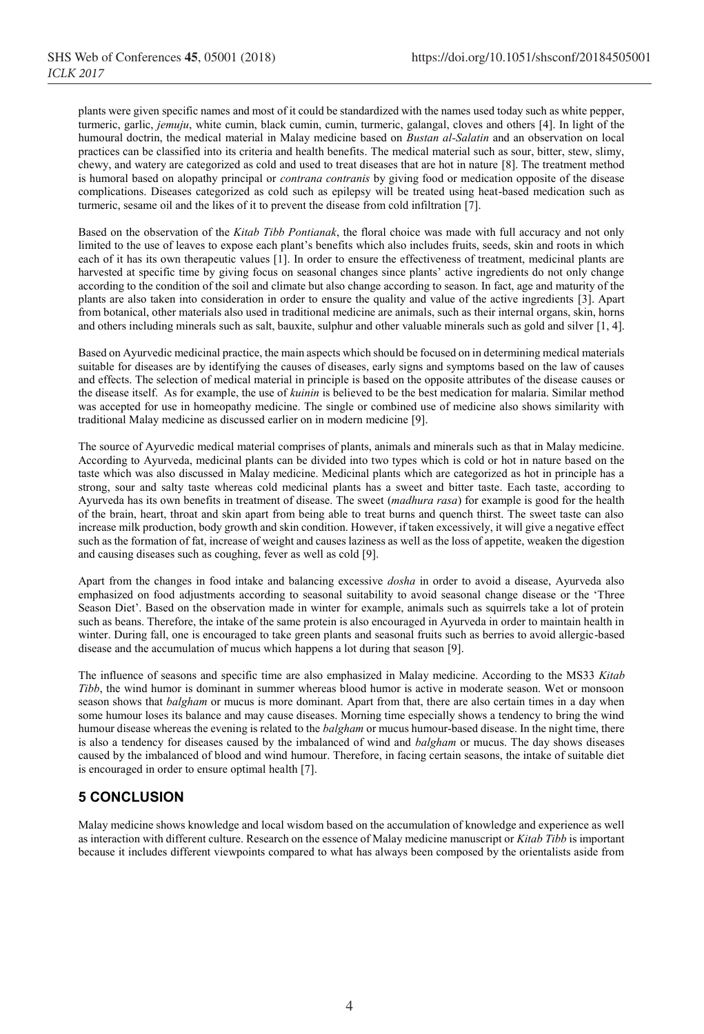plants were given specific names and most of it could be standardized with the names used today such as white pepper, turmeric, garlic, *jemuju*, white cumin, black cumin, cumin, turmeric, galangal, cloves and others [4]. In light of the humoural doctrin, the medical material in Malay medicine based on *Bustan al-Salatin* and an observation on local practices can be classified into its criteria and health benefits. The medical material such as sour, bitter, stew, slimy, chewy, and watery are categorized as cold and used to treat diseases that are hot in nature [8]. The treatment method is humoral based on alopathy principal or *contrana contranis* by giving food or medication opposite of the disease complications. Diseases categorized as cold such as epilepsy will be treated using heat-based medication such as turmeric, sesame oil and the likes of it to prevent the disease from cold infiltration [7].

Based on the observation of the *Kitab Tibb Pontianak*, the floral choice was made with full accuracy and not only limited to the use of leaves to expose each plant's benefits which also includes fruits, seeds, skin and roots in which each of it has its own therapeutic values [1]. In order to ensure the effectiveness of treatment, medicinal plants are harvested at specific time by giving focus on seasonal changes since plants' active ingredients do not only change according to the condition of the soil and climate but also change according to season. In fact, age and maturity of the plants are also taken into consideration in order to ensure the quality and value of the active ingredients [3]. Apart from botanical, other materials also used in traditional medicine are animals, such as their internal organs, skin, horns and others including minerals such as salt, bauxite, sulphur and other valuable minerals such as gold and silver [1, 4].

Based on Ayurvedic medicinal practice, the main aspects which should be focused on in determining medical materials suitable for diseases are by identifying the causes of diseases, early signs and symptoms based on the law of causes and effects. The selection of medical material in principle is based on the opposite attributes of the disease causes or the disease itself. As for example, the use of *kuinin* is believed to be the best medication for malaria. Similar method was accepted for use in homeopathy medicine. The single or combined use of medicine also shows similarity with traditional Malay medicine as discussed earlier on in modern medicine [9].

The source of Ayurvedic medical material comprises of plants, animals and minerals such as that in Malay medicine. According to Ayurveda, medicinal plants can be divided into two types which is cold or hot in nature based on the taste which was also discussed in Malay medicine. Medicinal plants which are categorized as hot in principle has a strong, sour and salty taste whereas cold medicinal plants has a sweet and bitter taste. Each taste, according to Ayurveda has its own benefits in treatment of disease. The sweet (*madhura rasa*) for example is good for the health of the brain, heart, throat and skin apart from being able to treat burns and quench thirst. The sweet taste can also increase milk production, body growth and skin condition. However, if taken excessively, it will give a negative effect such as the formation of fat, increase of weight and causes laziness as well as the loss of appetite, weaken the digestion and causing diseases such as coughing, fever as well as cold [9].

Apart from the changes in food intake and balancing excessive *dosha* in order to avoid a disease, Ayurveda also emphasized on food adjustments according to seasonal suitability to avoid seasonal change disease or the 'Three Season Diet'. Based on the observation made in winter for example, animals such as squirrels take a lot of protein such as beans. Therefore, the intake of the same protein is also encouraged in Ayurveda in order to maintain health in winter. During fall, one is encouraged to take green plants and seasonal fruits such as berries to avoid allergic-based disease and the accumulation of mucus which happens a lot during that season [9].

The influence of seasons and specific time are also emphasized in Malay medicine. According to the MS33 *Kitab Tibb*, the wind humor is dominant in summer whereas blood humor is active in moderate season. Wet or monsoon season shows that *balgham* or mucus is more dominant. Apart from that, there are also certain times in a day when some humour loses its balance and may cause diseases. Morning time especially shows a tendency to bring the wind humour disease whereas the evening is related to the *balgham* or mucus humour-based disease. In the night time, there is also a tendency for diseases caused by the imbalanced of wind and *balgham* or mucus. The day shows diseases caused by the imbalanced of blood and wind humour. Therefore, in facing certain seasons, the intake of suitable diet is encouraged in order to ensure optimal health [7].

## **5 CONCLUSION**

Malay medicine shows knowledge and local wisdom based on the accumulation of knowledge and experience as well as interaction with different culture. Research on the essence of Malay medicine manuscript or *Kitab Tibb* is important because it includes different viewpoints compared to what has always been composed by the orientalists aside from